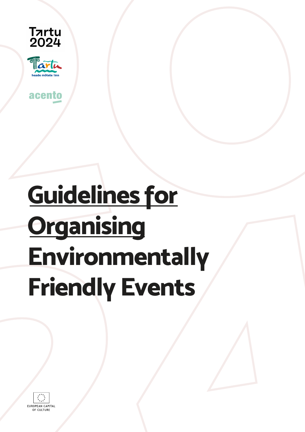



acento

# **Guidelines for Organising Environmentally Friendly Events**

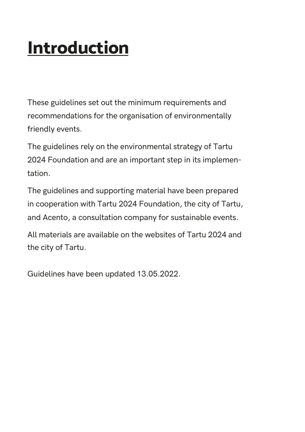### **Introduction**

These guidelines set out the minimum requirements and recommendations for the organisation of environmentally friendly events.

The guidelines rely on the environmental strategy of Tartu 2024 Foundation and are an important step in its implementation.

The guidelines and supporting material have been prepared in cooperation with Tartu 2024 Foundation, the city of Tartu, and Acento, a consultation company for sustainable events.

All materials are available on the websites of Tartu 2024 and the city of Tartu.

Guidelines have been updated 13.05.2022.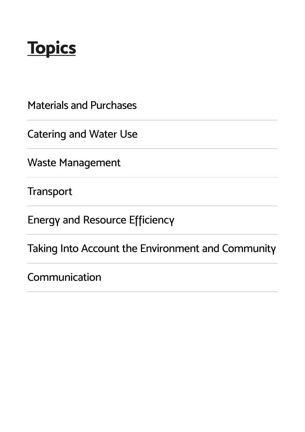

[Materials and Purchases](#page-3-0) 

[Catering and Water Use](#page-4-0) 

[Waste Management](#page-5-0)

**[Transport](#page-7-0)** 

[Energy and Resource Efficiency](#page-8-0)

[Taking Into Account the Environment and Community](#page-9-0) 

[Communication](#page-10-0)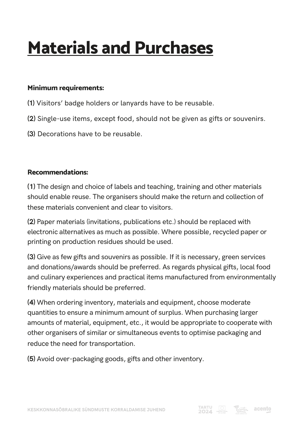### <span id="page-3-0"></span>**Materials and Purchases**

#### **Minimum requirements:**

- **(1)** Visitors' badge holders or lanyards have to be reusable.
- **(2)** Single-use items, except food, should not be given as gifts or souvenirs.
- **(3)** Decorations have to be reusable.

#### **Recommendations:**

**(1)** The design and choice of labels and teaching, training and other materials should enable reuse. The organisers should make the return and collection of these materials convenient and clear to visitors.

**(2)** Paper materials (invitations, publications etc.) should be replaced with electronic alternatives as much as possible. Where possible, recycled paper or printing on production residues should be used.

**(3)** Give as few gifts and souvenirs as possible. If it is necessary, green services and donations/awards should be preferred. As regards physical gifts, local food and culinary experiences and practical items manufactured from environmentally friendly materials should be preferred.

**(4)** When ordering inventory, materials and equipment, choose moderate quantities to ensure a minimum amount of surplus. When purchasing larger amounts of material, equipment, etc., it would be appropriate to cooperate with other organisers of similar or simultaneous events to optimise packaging and reduce the need for transportation.

**(5)** Avoid over-packaging goods, gifts and other inventory.

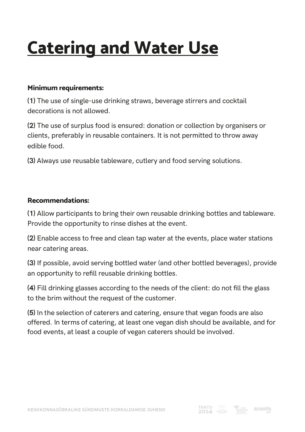## <span id="page-4-0"></span>**Catering and Water Use**

#### **Minimum requirements:**

**(1)** The use of single-use drinking straws, beverage stirrers and cocktail decorations is not allowed.

**(2)** The use of surplus food is ensured: donation or collection by organisers or clients, preferably in reusable containers. It is not permitted to throw away edible food.

**(3)** Always use reusable tableware, cutlery and food serving solutions.

#### **Recommendations:**

**(1)** Allow participants to bring their own reusable drinking bottles and tableware. Provide the opportunity to rinse dishes at the event.

**(2)** Enable access to free and clean tap water at the events, place water stations near catering areas.

**(3)** If possible, avoid serving bottled water (and other bottled beverages), provide an opportunity to refill reusable drinking bottles.

**(4)** Fill drinking glasses according to the needs of the client: do not fill the glass to the brim without the request of the customer.

**(5)** In the selection of caterers and catering, ensure that vegan foods are also offered. In terms of catering, at least one vegan dish should be available, and for food events, at least a couple of vegan caterers should be involved.

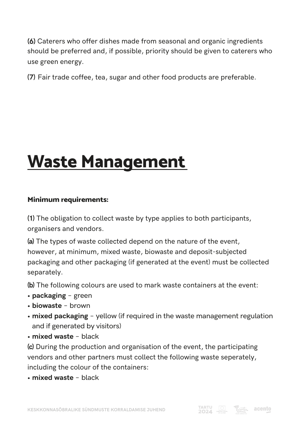<span id="page-5-0"></span>(6) Caterers who offer dishes made from seasonal and organic ingredients should be preferred and, if possible, priority should be given to caterers who use green energy.

**(7)** Fair trade coffee, tea, sugar and other food products are preferable.

### **Waste Management**

#### **Minimum requirements:**

**(1)** The obligation to collect waste by type applies to both participants, organisers and vendors.

**(a)** The types of waste collected depend on the nature of the event, however, at minimum, mixed waste, biowaste and deposit-subjected packaging and other packaging (if generated at the event) must be collected separately.

**(b)** The following colours are used to mark waste containers at the event:

- **• packaging** green
- **• biowaste** brown
- **• mixed packaging** yellow (if required in the waste management regulation and if generated by visitors)
- **• mixed waste** black

**(c)** During the production and organisation of the event, the participating vendors and other partners must collect the following waste seperately, including the colour of the containers:

**• mixed waste** – black



Tartu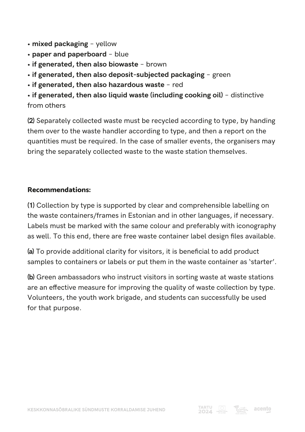- **• mixed packaging** yellow
- **• paper and paperboard** blue
- **• if generated, then also biowaste** brown
- **• if generated, then also deposit-subjected packaging** green
- **• if generated, then also hazardous waste** red

**• if generated, then also liquid waste (including cooking oil)** – distinctive from others

**(2)** Separately collected waste must be recycled according to type, by handing them over to the waste handler according to type, and then a report on the quantities must be required. In the case of smaller events, the organisers may bring the separately collected waste to the waste station themselves.

#### **Recommendations:**

**(1)** Collection by type is supported by clear and comprehensible labelling on the waste containers/frames in Estonian and in other languages, if necessary. Labels must be marked with the same colour and preferably with iconography as well. To this end, there are free waste container label design files available.

**(a)** To provide additional clarity for visitors, it is beneficial to add product samples to containers or labels or put them in the waste container as 'starter'.

**(b)** Green ambassadors who instruct visitors in sorting waste at waste stations are an effective measure for improving the quality of waste collection by type. Volunteers, the youth work brigade, and students can successfully be used for that purpose.

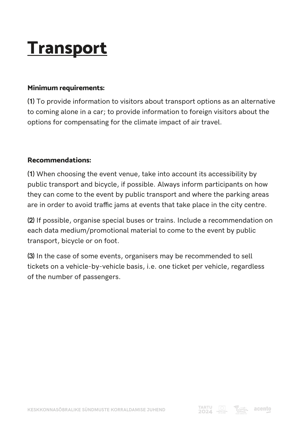### <span id="page-7-0"></span>**Transport**

#### **Minimum requirements:**

**(1)** To provide information to visitors about transport options as an alternative to coming alone in a car; to provide information to foreign visitors about the options for compensating for the climate impact of air travel.

#### **Recommendations:**

**(1)** When choosing the event venue, take into account its accessibility by public transport and bicycle, if possible. Always inform participants on how they can come to the event by public transport and where the parking areas are in order to avoid traffic jams at events that take place in the city centre.

**(2)** If possible, organise special buses or trains. Include a recommendation on each data medium/promotional material to come to the event by public transport, bicycle or on foot.

**(3)** In the case of some events, organisers may be recommended to sell tickets on a vehicle-by-vehicle basis, i.e. one ticket per vehicle, regardless of the number of passengers.

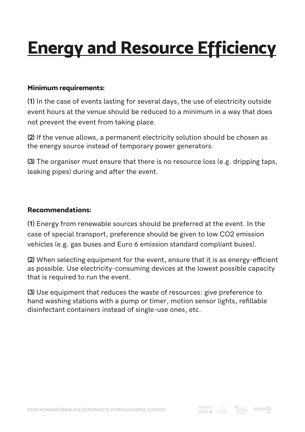## <span id="page-8-0"></span>**Energy and Resource Efficiency**

#### **Minimum requirements:**

**(1)** In the case of events lasting for several days, the use of electricity outside event hours at the venue should be reduced to a minimum in a way that does not prevent the event from taking place.

**(2)** If the venue allows, a permanent electricity solution should be chosen as the energy source instead of temporary power generators.

**(3)** The organiser must ensure that there is no resource loss (e.g. dripping taps, leaking pipes) during and after the event.

#### **Recommendations:**

**(1)** Energy from renewable sources should be preferred at the event. In the case of special transport, preference should be given to low CO2 emission vehicles (e.g. gas buses and Euro 6 emission standard compliant buses).

**(2)** When selecting equipment for the event, ensure that it is as energy-efficient as possible. Use electricity-consuming devices at the lowest possible capacity that is required to run the event.

**(3)** Use equipment that reduces the waste of resources: give preference to hand washing stations with a pump or timer, motion sensor lights, refillable disinfectant containers instead of single-use ones, etc.

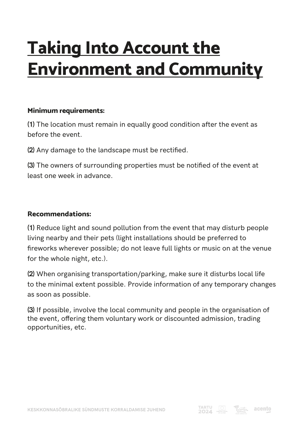### <span id="page-9-0"></span>**Taking Into Account the Environment and Community**

#### **Minimum requirements:**

**(1)** The location must remain in equally good condition after the event as before the event.

**(2)** Any damage to the landscape must be rectified.

**(3)** The owners of surrounding properties must be notified of the event at least one week in advance.

#### **Recommendations:**

**(1)** Reduce light and sound pollution from the event that may disturb people living nearby and their pets (light installations should be preferred to fireworks wherever possible; do not leave full lights or music on at the venue for the whole night, etc.).

**(2)** When organising transportation/parking, make sure it disturbs local life to the minimal extent possible. Provide information of any temporary changes as soon as possible.

**(3)** If possible, involve the local community and people in the organisation of the event, offering them voluntary work or discounted admission, trading opportunities, etc.

TARTU I Tartu

acento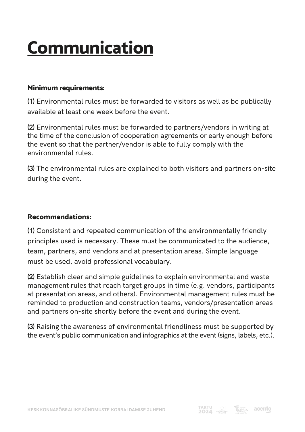## <span id="page-10-0"></span>**Communication**

#### **Minimum requirements:**

**(1)** Environmental rules must be forwarded to visitors as well as be publically available at least one week before the event.

**(2)** Environmental rules must be forwarded to partners/vendors in writing at the time of the conclusion of cooperation agreements or early enough before the event so that the partner/vendor is able to fully comply with the environmental rules.

**(3)** The environmental rules are explained to both visitors and partners on-site during the event.

#### **Recommendations:**

**(1)** Consistent and repeated communication of the environmentally friendly principles used is necessary. These must be communicated to the audience, team, partners, and vendors and at presentation areas. Simple language must be used, avoid professional vocabulary.

**(2)** Establish clear and simple guidelines to explain environmental and waste management rules that reach target groups in time (e.g. vendors, participants at presentation areas, and others). Environmental management rules must be reminded to production and construction teams, vendors/presentation areas and partners on-site shortly before the event and during the event.

**(3)** Raising the awareness of environmental friendliness must be supported by the event's public communication and infographics at the event (signs, labels, etc.).



Carta